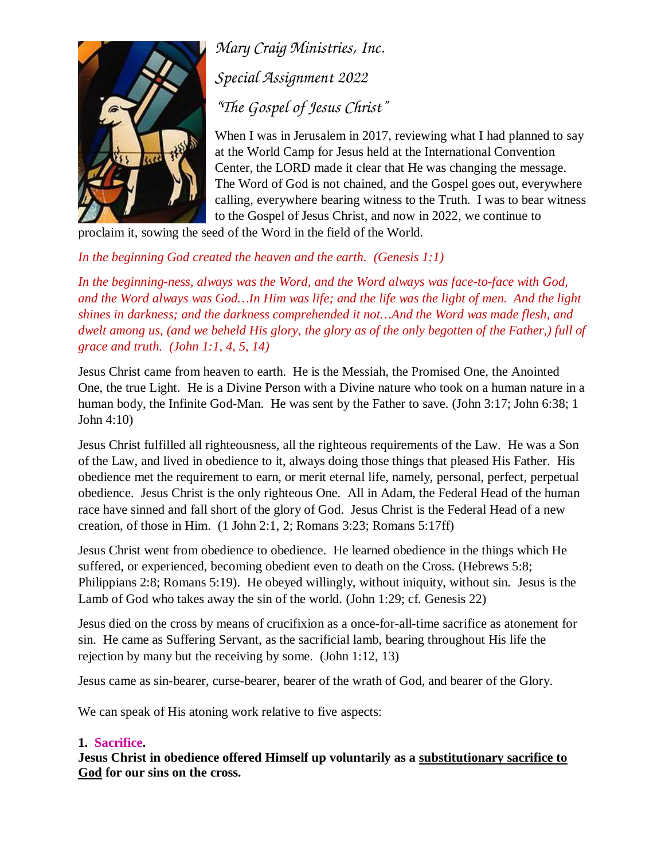

*Mary Craig Ministries, Inc. Special Assignment 2022 "The Gospel of Jesus Christ"* 

When I was in Jerusalem in 2017, reviewing what I had planned to say at the World Camp for Jesus held at the International Convention Center, the LORD made it clear that He was changing the message. The Word of God is not chained, and the Gospel goes out, everywhere calling, everywhere bearing witness to the Truth. I was to bear witness to the Gospel of Jesus Christ, and now in 2022, we continue to

proclaim it, sowing the seed of the Word in the field of the World.

*In the beginning God created the heaven and the earth. (Genesis 1:1)* 

*In the beginning-ness, always was the Word, and the Word always was face-to-face with God, and the Word always was God…In Him was life; and the life was the light of men. And the light shines in darkness; and the darkness comprehended it not…And the Word was made flesh, and dwelt among us, (and we beheld His glory, the glory as of the only begotten of the Father,) full of grace and truth. (John 1:1, 4, 5, 14)* 

Jesus Christ came from heaven to earth. He is the Messiah, the Promised One, the Anointed One, the true Light. He is a Divine Person with a Divine nature who took on a human nature in a human body, the Infinite God-Man. He was sent by the Father to save. (John 3:17; John 6:38; 1 John 4:10)

Jesus Christ fulfilled all righteousness, all the righteous requirements of the Law. He was a Son of the Law, and lived in obedience to it, always doing those things that pleased His Father. His obedience met the requirement to earn, or merit eternal life, namely, personal, perfect, perpetual obedience. Jesus Christ is the only righteous One. All in Adam, the Federal Head of the human race have sinned and fall short of the glory of God. Jesus Christ is the Federal Head of a new creation, of those in Him. (1 John 2:1, 2; Romans 3:23; Romans 5:17ff)

Jesus Christ went from obedience to obedience. He learned obedience in the things which He suffered, or experienced, becoming obedient even to death on the Cross. (Hebrews 5:8; Philippians 2:8; Romans 5:19). He obeyed willingly, without iniquity, without sin. Jesus is the Lamb of God who takes away the sin of the world. (John 1:29; cf. Genesis 22)

Jesus died on the cross by means of crucifixion as a once-for-all-time sacrifice as atonement for sin. He came as Suffering Servant, as the sacrificial lamb, bearing throughout His life the rejection by many but the receiving by some. (John 1:12, 13)

Jesus came as sin-bearer, curse-bearer, bearer of the wrath of God, and bearer of the Glory.

We can speak of His atoning work relative to five aspects:

#### **1. Sacrifice.**

**Jesus Christ in obedience offered Himself up voluntarily as a substitutionary sacrifice to God for our sins on the cross.**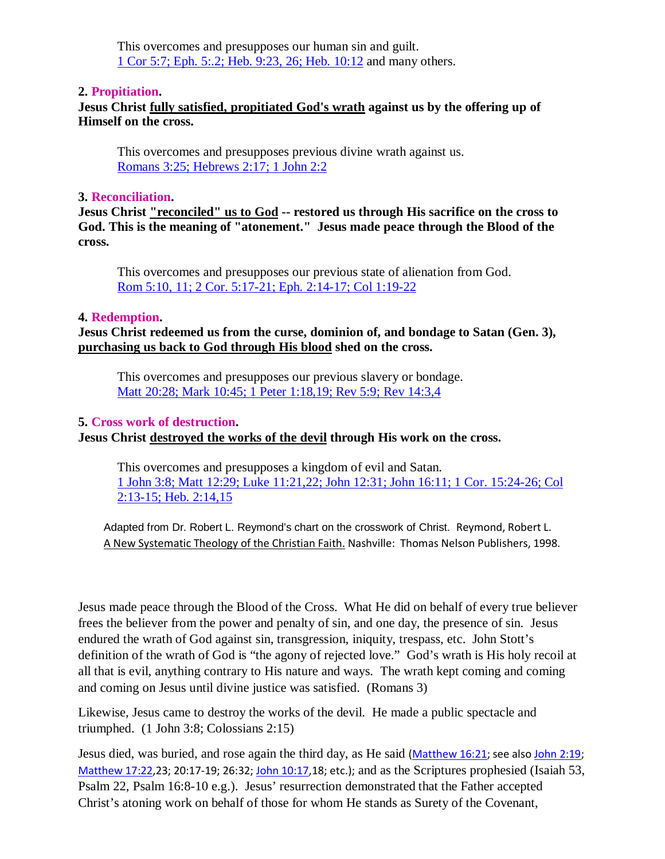This overcomes and presupposes our human sin and guilt. [1 Cor 5:7; Eph. 5:.2; Heb. 9:23, 26; Heb. 10:12 and many others.](http://bible.gospelcom.net/bible?language=English&version=NASB&passage=1+Cor+5:7;Eph+5:2;Heb+9:23-26;Heb+10:12&showxref=off) 

#### **2. Propitiation.**

#### **Jesus Christ fully satisfied, propitiated God's wrath against us by the offering up of Himself on the cross.**

This overcomes and presupposes previous divine wrath against us. [Romans 3:25; Hebrews 2:17; 1 John 2:2](http://bible.gospelcom.net/bible?language=English&version=NASB&passage=Rom+3:25;Heb+2:17;1+John+2:2&showxref=off)

## **3. Reconciliation.**

**Jesus Christ "reconciled" us to God -- restored us through His sacrifice on the cross to God. This is the meaning of "atonement." Jesus made peace through the Blood of the cross.**

This overcomes and presupposes our previous state of alienation from God. [Rom 5:10, 11; 2 Cor. 5:17-21; Eph. 2:14-17; Col 1:19-22](http://bible.gospelcom.net/bible?language=English&version=NASB&passage=Rom+5:10,11;2+Cor+5:17-21;Eph+2:14-17;Col+1:19-22&showxref=off) 

### **4. Redemption.**

**Jesus Christ redeemed us from the curse, dominion of, and bondage to Satan (Gen. 3), purchasing us back to God through His blood shed on the cross.**

This overcomes and presupposes our previous slavery or bondage. [Matt 20:28; Mark 10:45; 1 Peter 1:18,19; Rev 5:9; Rev 14:3,4](http://bible.gospelcom.net/bible?language=English&version=NASB&passage=Matt+20:28;Mark+10:45;1+Pet+1:18,19;Rev+5:9;Rev+14:3,4&showxref=off) 

### **5. Cross work of destruction.**

# **Jesus Christ destroyed the works of the devil through His work on the cross.**

This overcomes and presupposes a kingdom of evil and Satan. [1 John 3:8; Matt 12:29; Luke 11:21,22; John 12:31; John 16:11; 1 Cor. 15:24-26; Col](http://bible.gospelcom.net/bible?language=English&version=NASB&passage=1+John+3:8;Matt+12:29;Luke+11:21,22;John+12:31;John+16:11;1+Cor+15:24-26;Col+2:13-15;Heb+2:14,15&showxref=off)  2:13-15; Heb. 2:14,15

Adapted from Dr. Robert L. Reymond's chart on the crosswork of Christ. Reymond, Robert L. A New Systematic Theology of the Christian Faith. Nashville: Thomas Nelson Publishers, 1998.

Jesus made peace through the Blood of the Cross. What He did on behalf of every true believer frees the believer from the power and penalty of sin, and one day, the presence of sin. Jesus endured the wrath of God against sin, transgression, iniquity, trespass, etc. John Stott's definition of the wrath of God is "the agony of rejected love." God's wrath is His holy recoil at all that is evil, anything contrary to His nature and ways. The wrath kept coming and coming and coming on Jesus until divine justice was satisfied. (Romans 3)

Likewise, Jesus came to destroy the works of the devil. He made a public spectacle and triumphed. (1 John 3:8; Colossians 2:15)

Jesus died, was buried, and rose again the third day, as He said ([Matthew 16:21; see also J](http://www.icr.org/bible/Matthew/16/21)ohn 2:19; [Matthew 17:22,23; 20:17-19; 26:32; John 10:17,18; etc.\);](http://www.icr.org/bible/Matthew/17/22) [and as the Scriptures prophesied \(Isaiah 53,](http://www.icr.org/bible/John/10/17)  Psalm 22, Psalm 16:8-10 e.g.). Jesus' resurrection demonstrated that the Father accepted Christ's atoning work on behalf of those for whom He stands as Surety of the Covenant,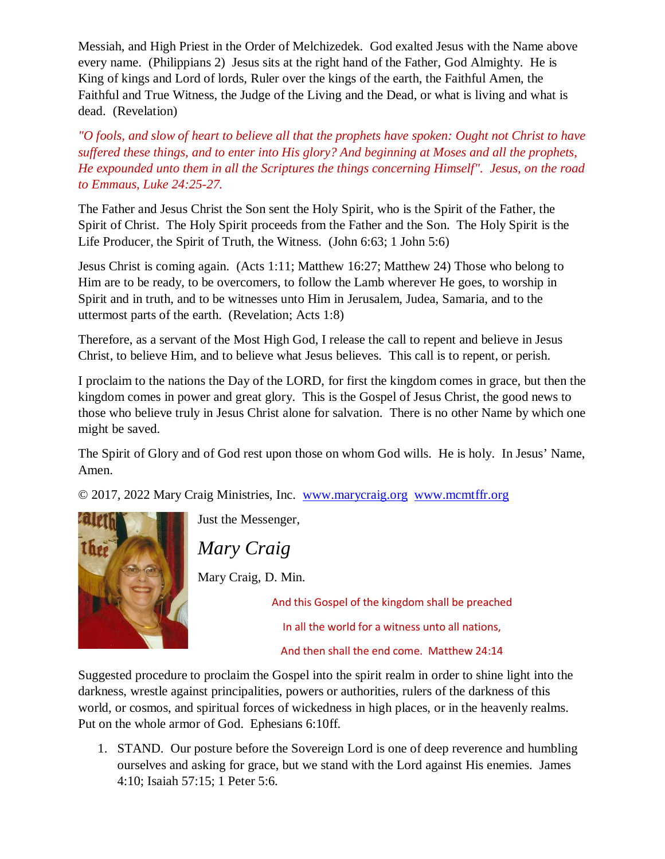Messiah, and High Priest in the Order of Melchizedek. God exalted Jesus with the Name above every name. (Philippians 2) Jesus sits at the right hand of the Father, God Almighty. He is King of kings and Lord of lords, Ruler over the kings of the earth, the Faithful Amen, the Faithful and True Witness, the Judge of the Living and the Dead, or what is living and what is dead. (Revelation)

*"O fools, and slow of heart to believe all that the prophets have spoken: Ought not Christ to have suffered these things, and to enter into His glory? And beginning at Moses and all the prophets, He expounded unto them in all the Scriptures the things concerning Himself". Jesus, on the road to Emmaus, Luke 24:25-27.* 

The Father and Jesus Christ the Son sent the Holy Spirit, who is the Spirit of the Father, the Spirit of Christ. The Holy Spirit proceeds from the Father and the Son. The Holy Spirit is the Life Producer, the Spirit of Truth, the Witness. (John 6:63; 1 John 5:6)

Jesus Christ is coming again. (Acts 1:11; Matthew 16:27; Matthew 24) Those who belong to Him are to be ready, to be overcomers, to follow the Lamb wherever He goes, to worship in Spirit and in truth, and to be witnesses unto Him in Jerusalem, Judea, Samaria, and to the uttermost parts of the earth. (Revelation; Acts 1:8)

Therefore, as a servant of the Most High God, I release the call to repent and believe in Jesus Christ, to believe Him, and to believe what Jesus believes. This call is to repent, or perish.

I proclaim to the nations the Day of the LORD, for first the kingdom comes in grace, but then the kingdom comes in power and great glory. This is the Gospel of Jesus Christ, the good news to those who believe truly in Jesus Christ alone for salvation. There is no other Name by which one might be saved.

The Spirit of Glory and of God rest upon those on whom God wills. He is holy. In Jesus' Name, Amen.

© 2017, 2022 Mary Craig Ministries, Inc. [www.marycraig.org www.mcmtffr.org](http://www.marycraig.org/) 



Just the Messenger,

*Mary Craig* 

Mary Craig, D. Min.

And this Gospel of the kingdom shall be preached In all the world for a witness unto all nations, And then shall the end come. Matthew 24:14

Suggested procedure to proclaim the Gospel into the spirit realm in order to shine light into the darkness, wrestle against principalities, powers or authorities, rulers of the darkness of this world, or cosmos, and spiritual forces of wickedness in high places, or in the heavenly realms. Put on the whole armor of God. Ephesians 6:10ff.

1. STAND. Our posture before the Sovereign Lord is one of deep reverence and humbling ourselves and asking for grace, but we stand with the Lord against His enemies. James 4:10; Isaiah 57:15; 1 Peter 5:6.